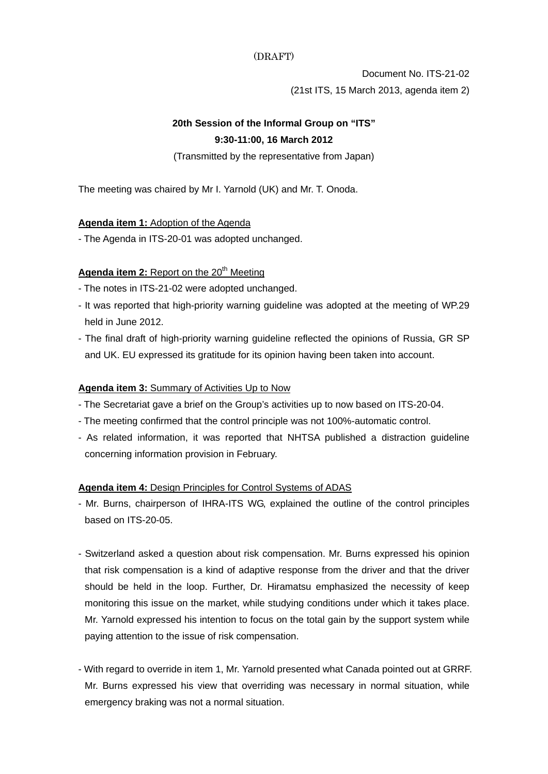#### (DRAFT)

Document No. ITS-21-02 (21st ITS, 15 March 2013, agenda item 2)

# **20th Session of the Informal Group on "ITS" 9:30-11:00, 16 March 2012**

(Transmitted by the representative from Japan)

The meeting was chaired by Mr I. Yarnold (UK) and Mr. T. Onoda.

## **Agenda item 1:** Adoption of the Agenda

- The Agenda in ITS-20-01 was adopted unchanged.

# Agenda item 2: Report on the 20<sup>th</sup> Meeting

- The notes in ITS-21-02 were adopted unchanged.
- It was reported that high-priority warning guideline was adopted at the meeting of WP.29 held in June 2012.
- The final draft of high-priority warning guideline reflected the opinions of Russia, GR SP and UK. EU expressed its gratitude for its opinion having been taken into account.

## **Agenda item 3:** Summary of Activities Up to Now

- The Secretariat gave a brief on the Group's activities up to now based on ITS-20-04.
- The meeting confirmed that the control principle was not 100%-automatic control.
- As related information, it was reported that NHTSA published a distraction guideline concerning information provision in February.

## **Agenda item 4:** Design Principles for Control Systems of ADAS

- Mr. Burns, chairperson of IHRA-ITS WG, explained the outline of the control principles based on ITS-20-05.
- Switzerland asked a question about risk compensation. Mr. Burns expressed his opinion that risk compensation is a kind of adaptive response from the driver and that the driver should be held in the loop. Further, Dr. Hiramatsu emphasized the necessity of keep monitoring this issue on the market, while studying conditions under which it takes place. Mr. Yarnold expressed his intention to focus on the total gain by the support system while paying attention to the issue of risk compensation.
- With regard to override in item 1, Mr. Yarnold presented what Canada pointed out at GRRF. Mr. Burns expressed his view that overriding was necessary in normal situation, while emergency braking was not a normal situation.